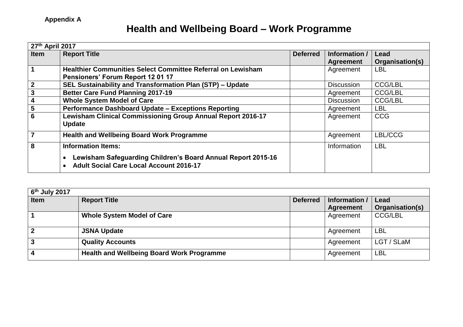## **Health and Wellbeing Board – Work Programme**

| 27th April 2017         |                                                                                                                |                 |                   |                 |  |  |
|-------------------------|----------------------------------------------------------------------------------------------------------------|-----------------|-------------------|-----------------|--|--|
| <b>Item</b>             | <b>Report Title</b>                                                                                            | <b>Deferred</b> | Information /     | Lead            |  |  |
|                         |                                                                                                                |                 | <b>Agreement</b>  | Organisation(s) |  |  |
|                         | Healthier Communities Select Committee Referral on Lewisham                                                    |                 | Agreement         | <b>LBL</b>      |  |  |
|                         | Pensioners' Forum Report 12 01 17                                                                              |                 |                   |                 |  |  |
| $\mathbf{2}$            | SEL Sustainability and Transformation Plan (STP) - Update                                                      |                 | <b>Discussion</b> | <b>CCG/LBL</b>  |  |  |
| 3                       | <b>Better Care Fund Planning 2017-19</b>                                                                       |                 | Agreement         | <b>CCG/LBL</b>  |  |  |
| 4                       | <b>Whole System Model of Care</b>                                                                              |                 | <b>Discussion</b> | <b>CCG/LBL</b>  |  |  |
| $\overline{\mathbf{5}}$ | Performance Dashboard Update - Exceptions Reporting                                                            |                 | Agreement         | <b>LBL</b>      |  |  |
| 6                       | Lewisham Clinical Commissioning Group Annual Report 2016-17                                                    |                 | Agreement         | <b>CCG</b>      |  |  |
|                         | <b>Update</b>                                                                                                  |                 |                   |                 |  |  |
| $\overline{7}$          | <b>Health and Wellbeing Board Work Programme</b>                                                               |                 | Agreement         | LBL/CCG         |  |  |
| 8                       | <b>Information Items:</b>                                                                                      |                 | Information       | <b>LBL</b>      |  |  |
|                         | Lewisham Safeguarding Children's Board Annual Report 2015-16<br><b>Adult Social Care Local Account 2016-17</b> |                 |                   |                 |  |  |

| $6th$ July 2017 |                                                  |                 |                  |                 |  |  |  |
|-----------------|--------------------------------------------------|-----------------|------------------|-----------------|--|--|--|
| <b>Item</b>     | <b>Report Title</b>                              | <b>Deferred</b> | Information /    | Lead            |  |  |  |
|                 |                                                  |                 | <b>Agreement</b> | Organisation(s) |  |  |  |
|                 | <b>Whole System Model of Care</b>                |                 | Agreement        | <b>CCG/LBL</b>  |  |  |  |
| $\mathbf{2}$    | <b>JSNA Update</b>                               |                 | Agreement        | LBL             |  |  |  |
|                 | <b>Quality Accounts</b>                          |                 | Agreement        | LGT / SLaM      |  |  |  |
|                 | <b>Health and Wellbeing Board Work Programme</b> |                 | Agreement        | LBL             |  |  |  |